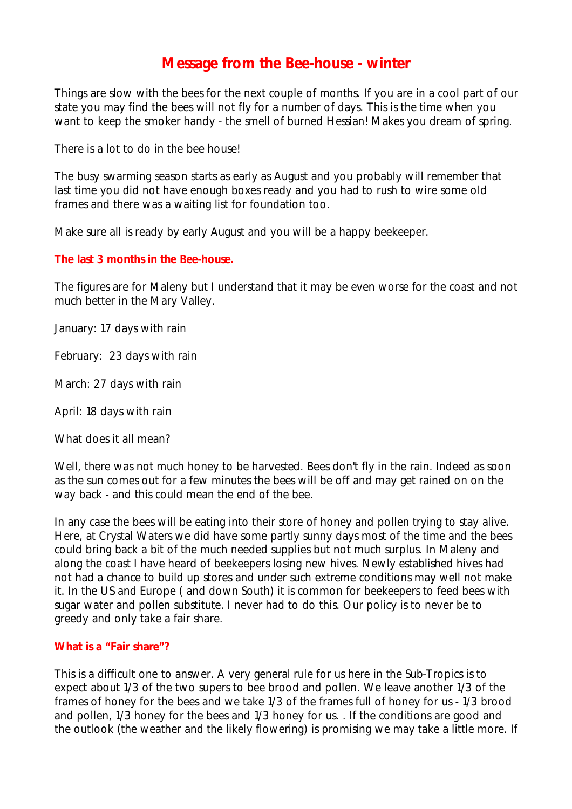# **Message from the Bee-house - winter**

Things are slow with the bees for the next couple of months. If you are in a cool part of our state you may find the bees will not fly for a number of days. This is the time when you want to keep the smoker handy - the smell of burned Hessian! Makes you dream of spring.

There is a lot to do in the bee house!

The busy swarming season starts as early as August and you probably will remember that last time you did not have enough boxes ready and you had to rush to wire some old frames and there was a waiting list for foundation too.

Make sure all is ready by early August and you will be a happy beekeeper.

#### **The last 3 months in the Bee-house.**

The figures are for Maleny but I understand that it may be even worse for the coast and not much better in the Mary Valley.

January: 17 days with rain

February: 23 days with rain

March: 27 days with rain

April: 18 days with rain

What does it all mean?

Well, there was not much honey to be harvested. Bees don't fly in the rain. Indeed as soon as the sun comes out for a few minutes the bees will be off and may get rained on on the way back - and this could mean the end of the bee.

In any case the bees will be eating into their store of honey and pollen trying to stay alive. Here, at Crystal Waters we did have some partly sunny days most of the time and the bees could bring back a bit of the much needed supplies but not much surplus. In Maleny and along the coast I have heard of beekeepers losing new hives. Newly established hives had not had a chance to build up stores and under such extreme conditions may well not make it. In the US and Europe ( and down South) it is common for beekeepers to feed bees with sugar water and pollen substitute. I never had to do this. Our policy is to never be to greedy and only take a fair share.

#### **What is a "Fair share"?**

This is a difficult one to answer. A very general rule for us here in the Sub-Tropics is to expect about 1/3 of the two supers to bee brood and pollen. We leave another 1/3 of the frames of honey for the bees and we take 1/3 of the frames full of honey for us - 1/3 brood and pollen, 1/3 honey for the bees and 1/3 honey for us. . If the conditions are good and the outlook (the weather and the likely flowering) is promising we may take a little more. If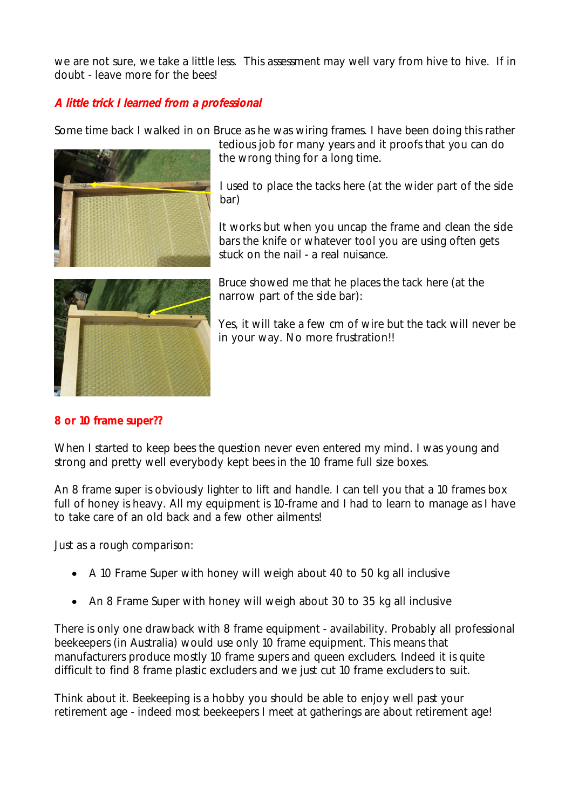we are not sure, we take a little less. This assessment may well vary from hive to hive. If in doubt - leave more for the bees!

## *A little trick I learned from a professional*

Some time back I walked in on Bruce as he was wiring frames. I have been doing this rather



tedious job for many years and it proofs that you can do the wrong thing for a long time.

I used to place the tacks here (at the wider part of the side bar)

It works but when you uncap the frame and clean the side bars the knife or whatever tool you are using often gets stuck on the nail - a real nuisance.



Bruce showed me that he places the tack here (at the narrow part of the side bar):

Yes, it will take a few cm of wire but the tack will never be in your way. No more frustration!!

#### **8 or 10 frame super??**

When I started to keep bees the question never even entered my mind. I was young and strong and pretty well everybody kept bees in the 10 frame full size boxes.

An 8 frame super is obviously lighter to lift and handle. I can tell you that a 10 frames box full of honey is heavy. All my equipment is 10-frame and I had to learn to manage as I have to take care of an old back and a few other ailments!

Just as a rough comparison:

- A 10 Frame Super with honey will weigh about 40 to 50 kg all inclusive
- An 8 Frame Super with honey will weigh about 30 to 35 kg all inclusive

There is only one drawback with 8 frame equipment - availability. Probably all professional beekeepers (in Australia) would use only 10 frame equipment. This means that manufacturers produce mostly 10 frame supers and queen excluders. Indeed it is quite difficult to find 8 frame plastic excluders and we just cut 10 frame excluders to suit.

Think about it. Beekeeping is a hobby you should be able to enjoy well past your retirement age - indeed most beekeepers I meet at gatherings are about retirement age!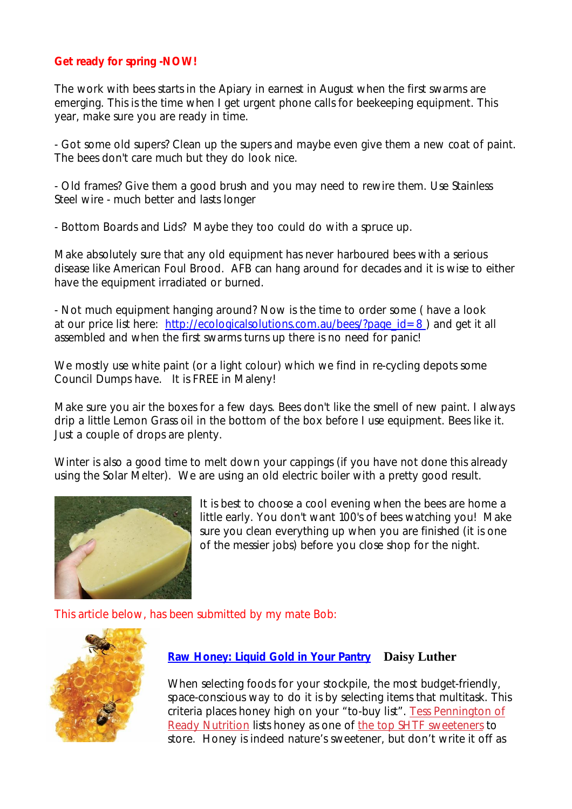#### **Get ready for spring -NOW!**

The work with bees starts in the Apiary in earnest in August when the first swarms are emerging. This is the time when I get urgent phone calls for beekeeping equipment. This year, make sure you are ready in time.

- Got some old supers? Clean up the supers and maybe even give them a new coat of paint. The bees don't care much but they do look nice.

- Old frames? Give them a good brush and you may need to rewire them. Use Stainless Steel wire - much better and lasts longer

- Bottom Boards and Lids? Maybe they too could do with a spruce up.

Make absolutely sure that any old equipment has never harboured bees with a serious disease like American Foul Brood. AFB can hang around for decades and it is wise to either have the equipment irradiated or burned.

- Not much equipment hanging around? Now is the time to order some ( have a look at our price list here: http://ecologicalsolutions.com.au/bees/?page\_id=8 ) and get it all assembled and when the first swarms turns up there is no need for panic!

We mostly use white paint (or a light colour) which we find in re-cycling depots some Council Dumps have. It is FREE in Maleny!

Make sure you air the boxes for a few days. Bees don't like the smell of new paint. I always drip a little Lemon Grass oil in the bottom of the box before I use equipment. Bees like it. Just a couple of drops are plenty.

Winter is also a good time to melt down your cappings (if you have not done this already using the Solar Melter). We are using an old electric boiler with a pretty good result.



It is best to choose a cool evening when the bees are home a little early. You don't want 100's of bees watching you! Make sure you clean everything up when you are finished (it is one of the messier jobs) before you close shop for the night.

This article below, has been submitted by my mate Bob:



#### **Raw Honey: Liquid Gold in Your Pantry Daisy Luther**

When selecting foods for your stockpile, the most budget-friendly, space-conscious way to do it is by selecting items that multitask. This criteria places honey high on your "to-buy list". Tess Pennington of Ready Nutrition lists honey as one of the top SHTF sweeteners to store. Honey is indeed nature's sweetener, but don't write it off as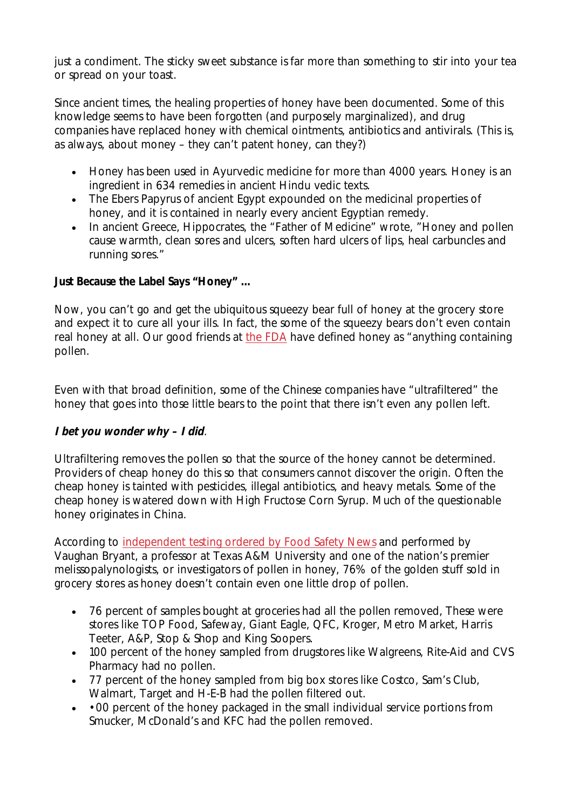just a condiment. The sticky sweet substance is far more than something to stir into your tea or spread on your toast.

Since ancient times, the healing properties of honey have been documented. Some of this knowledge seems to have been forgotten (and purposely marginalized), and drug companies have replaced honey with chemical ointments, antibiotics and antivirals. (This is, as always, about money – they can't patent honey, can they?)

- Honey has been used in Ayurvedic medicine for more than 4000 years. Honey is an ingredient in 634 remedies in ancient Hindu vedic texts.
- The Ebers Papyrus of ancient Egypt expounded on the medicinal properties of honey, and it is contained in nearly every ancient Egyptian remedy.
- In ancient Greece, Hippocrates, the "Father of Medicine" wrote, "Honey and pollen cause warmth, clean sores and ulcers, soften hard ulcers of lips, heal carbuncles and running sores."

## **Just Because the Label Says "Honey" …**

Now, you can't go and get the ubiquitous squeezy bear full of honey at the grocery store and expect it to cure all your ills. In fact, the some of the squeezy bears don't even contain real honey at all. Our good friends at the FDA have defined honey as "anything containing pollen.

Even with that broad definition, some of the Chinese companies have "ultrafiltered" the honey that goes into those little bears to the point that there isn't even any pollen left.

#### *I bet you wonder why – I did*.

Ultrafiltering removes the pollen so that the source of the honey cannot be determined. Providers of cheap honey do this so that consumers cannot discover the origin. Often the cheap honey is tainted with pesticides, illegal antibiotics, and heavy metals. Some of the cheap honey is watered down with High Fructose Corn Syrup. Much of the questionable honey originates in China.

According to independent testing ordered by Food Safety News and performed by Vaughan Bryant, a professor at Texas A&M University and one of the nation's premier melissopalynologists, or investigators of pollen in honey, 76% of the golden stuff sold in grocery stores as honey doesn't contain even one little drop of pollen.

- 76 percent of samples bought at groceries had all the pollen removed, These were stores like TOP Food, Safeway, Giant Eagle, QFC, Kroger, Metro Market, Harris Teeter, A&P, Stop & Shop and King Soopers.
- 100 percent of the honey sampled from drugstores like Walgreens, Rite-Aid and CVS Pharmacy had no pollen.
- 77 percent of the honey sampled from big box stores like Costco, Sam's Club, Walmart, Target and H-E-B had the pollen filtered out.
- • 00 percent of the honey packaged in the small individual service portions from Smucker, McDonald's and KFC had the pollen removed.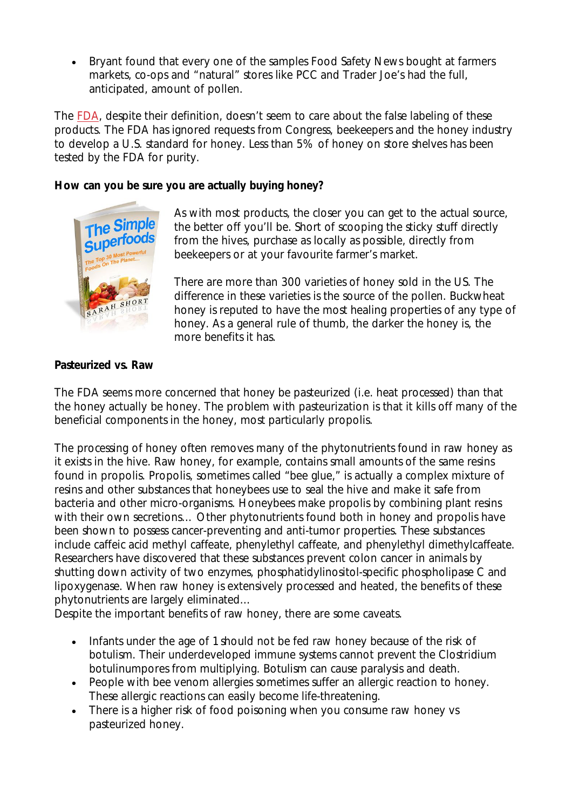• Bryant found that every one of the samples Food Safety News bought at farmers markets, co-ops and "natural" stores like PCC and Trader Joe's had the full, anticipated, amount of pollen.

The FDA, despite their definition, doesn't seem to care about the false labeling of these products. The FDA has ignored requests from Congress, beekeepers and the honey industry to develop a U.S. standard for honey. Less than 5% of honey on store shelves has been tested by the FDA for purity.

#### **How can you be sure you are actually buying honey?**



As with most products, the closer you can get to the actual source, the better off you'll be. Short of scooping the sticky stuff directly from the hives, purchase as locally as possible, directly from beekeepers or at your favourite farmer's market.

There are more than 300 varieties of honey sold in the US. The difference in these varieties is the source of the pollen. Buckwheat honey is reputed to have the most healing properties of any type of honey. As a general rule of thumb, the darker the honey is, the more benefits it has.

## **Pasteurized vs. Raw**

The FDA seems more concerned that honey be pasteurized (i.e. heat processed) than that the honey actually be honey. The problem with pasteurization is that it kills off many of the beneficial components in the honey, most particularly propolis.

The processing of honey often removes many of the phytonutrients found in raw honey as it exists in the hive. Raw honey, for example, contains small amounts of the same resins found in propolis. Propolis, sometimes called "bee glue," is actually a complex mixture of resins and other substances that honeybees use to seal the hive and make it safe from bacteria and other micro-organisms. Honeybees make propolis by combining plant resins with their own secretions... Other phytonutrients found both in honey and propolis have been shown to possess cancer-preventing and anti-tumor properties. These substances include caffeic acid methyl caffeate, phenylethyl caffeate, and phenylethyl dimethylcaffeate. Researchers have discovered that these substances prevent colon cancer in animals by shutting down activity of two enzymes, phosphatidylinositol-specific phospholipase C and lipoxygenase. When raw honey is extensively processed and heated, the benefits of these phytonutrients are largely eliminated…

Despite the important benefits of raw honey, there are some caveats.

- Infants under the age of 1 should not be fed raw honey because of the risk of botulism. Their underdeveloped immune systems cannot prevent the Clostridium botulinumpores from multiplying. Botulism can cause paralysis and death.
- People with bee venom allergies sometimes suffer an allergic reaction to honey. These allergic reactions can easily become life-threatening.
- There is a higher risk of food poisoning when you consume raw honey vs pasteurized honey.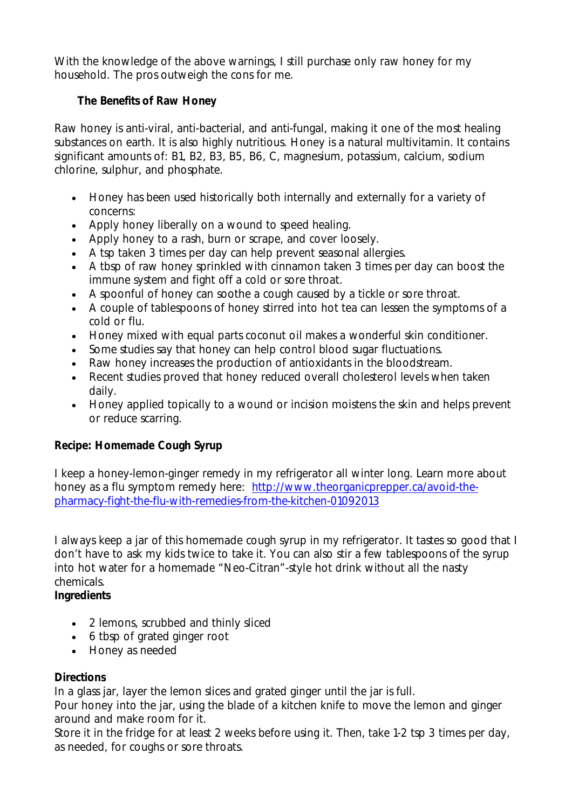With the knowledge of the above warnings, I still purchase only raw honey for my household. The pros outweigh the cons for me.

## **The Benefits of Raw Honey**

Raw honey is anti-viral, anti-bacterial, and anti-fungal, making it one of the most healing substances on earth. It is also highly nutritious. Honey is a natural multivitamin. It contains significant amounts of: B1, B2, B3, B5, B6, C, magnesium, potassium, calcium, sodium chlorine, sulphur, and phosphate.

- Honey has been used historically both internally and externally for a variety of concerns:
- Apply honey liberally on a wound to speed healing.
- Apply honey to a rash, burn or scrape, and cover loosely.
- A tsp taken 3 times per day can help prevent seasonal allergies.
- A tbsp of raw honey sprinkled with cinnamon taken 3 times per day can boost the immune system and fight off a cold or sore throat.
- A spoonful of honey can soothe a cough caused by a tickle or sore throat.
- A couple of tablespoons of honey stirred into hot tea can lessen the symptoms of a cold or flu.
- Honey mixed with equal parts coconut oil makes a wonderful skin conditioner.
- Some studies say that honey can help control blood sugar fluctuations.
- Raw honey increases the production of antioxidants in the bloodstream.
- Recent studies proved that honey reduced overall cholesterol levels when taken daily.
- Honey applied topically to a wound or incision moistens the skin and helps prevent or reduce scarring.

## **Recipe: Homemade Cough Syrup**

I keep a honey-lemon-ginger remedy in my refrigerator all winter long. Learn more about honey as a flu symptom remedy here: http://www.theorganicprepper.ca/avoid-thepharmacy-fight-the-flu-with-remedies-from-the-kitchen-01092013

I always keep a jar of this homemade cough syrup in my refrigerator. It tastes so good that I don't have to ask my kids twice to take it. You can also stir a few tablespoons of the syrup into hot water for a homemade "Neo-Citran"-style hot drink without all the nasty chemicals.

## **Ingredients**

- 2 lemons, scrubbed and thinly sliced
- 6 tbsp of grated ginger root
- Honey as needed

## **Directions**

In a glass jar, layer the lemon slices and grated ginger until the jar is full.

Pour honey into the jar, using the blade of a kitchen knife to move the lemon and ginger around and make room for it.

Store it in the fridge for at least 2 weeks before using it. Then, take 1-2 tsp 3 times per day, as needed, for coughs or sore throats.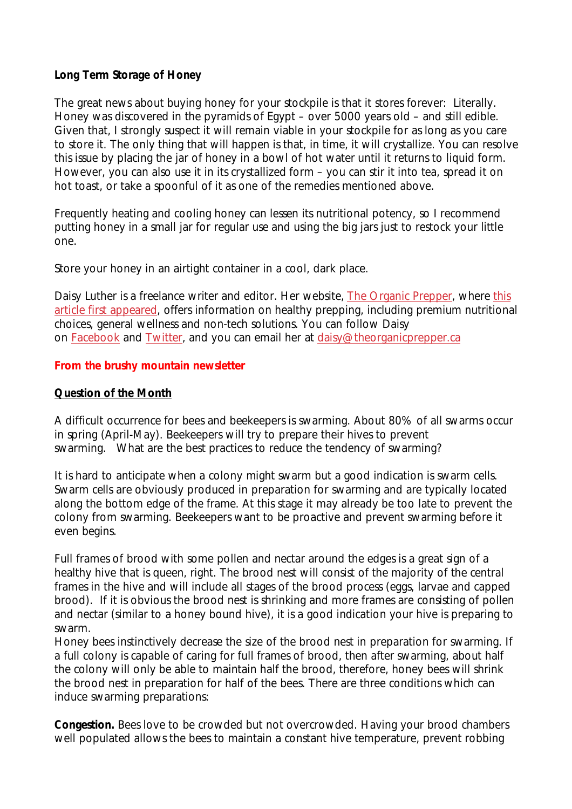#### **Long Term Storage of Honey**

The great news about buying honey for your stockpile is that it stores forever: Literally. Honey was discovered in the pyramids of Egypt – over 5000 years old – and still edible. Given that, I strongly suspect it will remain viable in your stockpile for as long as you care to store it. The only thing that will happen is that, in time, it will crystallize. You can resolve this issue by placing the jar of honey in a bowl of hot water until it returns to liquid form. However, you can also use it in its crystallized form – you can stir it into tea, spread it on hot toast, or take a spoonful of it as one of the remedies mentioned above.

Frequently heating and cooling honey can lessen its nutritional potency, so I recommend putting honey in a small jar for regular use and using the big jars just to restock your little one.

Store your honey in an airtight container in a cool, dark place.

*Daisy Luther is a freelance writer and editor. Her website, The Organic Prepper, where this article first appeared, offers information on healthy prepping, including premium nutritional choices, general wellness and non-tech solutions. You can follow Daisy on Facebook and Twitter, and you can email her at daisy@theorganicprepper.ca*

#### **From the brushy mountain newsletter**

#### **Question of the Month**

A difficult occurrence for bees and beekeepers is swarming. About 80% of all swarms occur in spring (April-May). Beekeepers will try to prepare their hives to prevent swarming. What are the best practices to reduce the tendency of swarming?

It is hard to anticipate when a colony might swarm but a good indication is swarm cells. Swarm cells are obviously produced in preparation for swarming and are typically located along the bottom edge of the frame. At this stage it may already be too late to prevent the colony from swarming. Beekeepers want to be proactive and prevent swarming before it even begins.

Full frames of brood with some pollen and nectar around the edges is a great sign of a healthy hive that is queen, right. The brood nest will consist of the majority of the central frames in the hive and will include all stages of the brood process (eggs, larvae and capped brood). If it is obvious the brood nest is shrinking and more frames are consisting of pollen and nectar (similar to a honey bound hive), it is a good indication your hive is preparing to swarm.

Honey bees instinctively decrease the size of the brood nest in preparation for swarming. If a full colony is capable of caring for full frames of brood, then after swarming, about half the colony will only be able to maintain half the brood, therefore, honey bees will shrink the brood nest in preparation for half of the bees. There are three conditions which can induce swarming preparations:

**Congestion.** Bees love to be crowded but not overcrowded. Having your brood chambers well populated allows the bees to maintain a constant hive temperature, prevent robbing